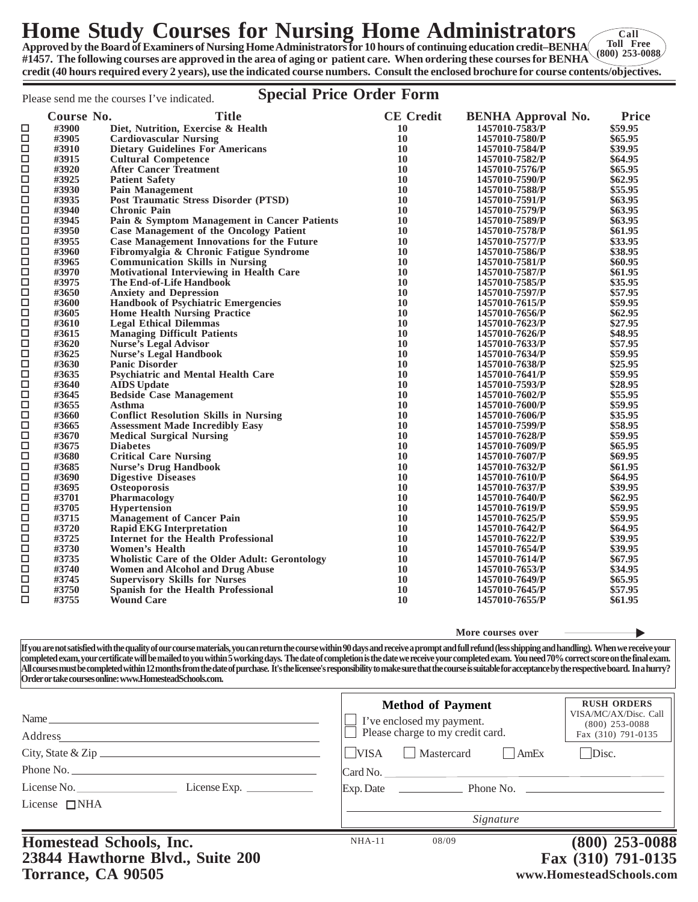## **Home Study Courses for Nursing Home Administrators**

**Approved by the Board of Examiners of Nursing Home Administrators for 10 hours of continuing education credit–BENHA #1457. The following courses are approved in the area of aging or patient care. When ordering these courses for BENHA credit (40 hours required every 2 years), use the indicated course numbers. Consult the enclosed brochure for course contents/objectives. Toll Free (800) 253-0088**

## Please send me the courses I've indicated. **Special Price Order Form**

|             | Course No.     | <b>Title</b>                                           | <b>CE</b> Credit | <b>BENHA Approval No.</b> | <b>Price</b> |
|-------------|----------------|--------------------------------------------------------|------------------|---------------------------|--------------|
| □           | #3900          | Diet, Nutrition, Exercise & Health                     | 10               | 1457010-7583/P            | \$59.95      |
| $\Box$      | #3905          | <b>Cardiovascular Nursing</b>                          | 10               | 1457010-7580/P            | \$65.95      |
| □           | #3910          | <b>Dietary Guidelines For Americans</b>                | 10               | 1457010-7584/P            | \$39.95      |
| $\Box$      | #3915          | <b>Cultural Competence</b>                             | 10               | 1457010-7582/P            | \$64.95      |
| $\Box$      | #3920          | <b>After Cancer Treatment</b>                          | 10               | 1457010-7576/P            | \$65.95      |
| $\Box$      | #3925          | <b>Patient Safety</b>                                  | 10               | 1457010-7590/P            | \$62.95      |
| □           | #3930          | <b>Pain Management</b>                                 | 10               | 1457010-7588/P            | \$55.95      |
| $\Box$      | #3935          | <b>Post Traumatic Stress Disorder (PTSD)</b>           | 10               | 1457010-7591/P            | \$63.95      |
| $\Box$      | #3940          | <b>Chronic Pain</b>                                    | 10               | 1457010-7579/P            | \$63.95      |
| $\Box$      | #3945          | Pain & Symptom Management in Cancer Patients           | 10               | 1457010-7589/P            | \$63.95      |
| $\Box$      | #3950          | <b>Case Management of the Oncology Patient</b>         | 10               | 1457010-7578/P            | \$61.95      |
| $\Box$      | #3955          | <b>Case Management Innovations for the Future</b>      | 10               | 1457010-7577/P            | \$33.95      |
| $\Box$      | #3960          | Fibromvalgia & Chronic Fatigue Syndrome                | 10               | 1457010-7586/P            | \$38.95      |
| $\Box$      | #3965          | <b>Communication Skills in Nursing</b>                 | 10               | 1457010-7581/P            | \$60.95      |
| $\Box$      | #3970          | <b>Motivational Interviewing in Health Care</b>        | 10               | 1457010-7587/P            | \$61.95      |
| $\Box$      | #3975          | <b>The End-of-Life Handbook</b>                        | 10               | 1457010-7585/P            | \$35.95      |
| $\Box$      | #3650          | <b>Anxiety and Depression</b>                          | 10               | 1457010-7597/P            | \$57.95      |
| $\Box$      | #3600          | <b>Handbook of Psychiatric Emergencies</b>             | 10               | 1457010-7615/P            | \$59.95      |
| □           | #3605          | <b>Home Health Nursing Practice</b>                    | 10               | 1457010-7656/P            | \$62.95      |
| $\Box$      | #3610          |                                                        | 10               | 1457010-7623/P            | \$27.95      |
| □           | #3615          | <b>Legal Ethical Dilemmas</b>                          | 10               |                           | \$48.95      |
| $\Box$      |                | <b>Managing Difficult Patients</b>                     | 10               | 1457010-7626/P            |              |
|             | #3620          | <b>Nurse's Legal Advisor</b>                           |                  | 1457010-7633/P            | \$57.95      |
| □<br>$\Box$ | #3625<br>#3630 | <b>Nurse's Legal Handbook</b><br><b>Panic Disorder</b> | 10<br>10         | 1457010-7634/P            | \$59.95      |
|             |                |                                                        |                  | 1457010-7638/P            | \$25.95      |
| $\Box$      | #3635          | <b>Psychiatric and Mental Health Care</b>              | 10               | 1457010-7641/P            | \$59.95      |
| $\Box$      | #3640          | <b>AIDS</b> Update                                     | 10               | 1457010-7593/P            | \$28.95      |
| $\Box$      | #3645          | <b>Bedside Case Management</b>                         | 10               | 1457010-7602/P            | \$55.95      |
| □           | #3655          | Asthma                                                 | 10               | 1457010-7600/P            | \$59.95      |
| $\Box$      | #3660          | <b>Conflict Resolution Skills in Nursing</b>           | 10               | 1457010-7606/P            | \$35.95      |
| $\Box$      | #3665          | <b>Assessment Made Incredibly Easy</b>                 | 10               | 1457010-7599/P            | \$58.95      |
| $\Box$      | #3670          | <b>Medical Surgical Nursing</b>                        | 10               | 1457010-7628/P            | \$59.95      |
| $\Box$      | #3675          | <b>Diabetes</b>                                        | 10               | 1457010-7609/P            | \$65.95      |
| $\Box$      | #3680          | <b>Critical Care Nursing</b>                           | 10               | 1457010-7607/P            | \$69.95      |
| □           | #3685          | <b>Nurse's Drug Handbook</b>                           | 10               | 1457010-7632/P            | \$61.95      |
| $\Box$      | #3690          | <b>Digestive Diseases</b>                              | 10               | 1457010-7610/P            | \$64.95      |
| □           | #3695          | Osteoporosis                                           | 10               | 1457010-7637/P            | \$39.95      |
| $\Box$      | #3701          | Pharmacology                                           | 10               | 1457010-7640/P            | \$62.95      |
| $\Box$      | #3705          | <b>Hypertension</b>                                    | 10               | 1457010-7619/P            | \$59.95      |
| $\Box$      | #3715          | <b>Management of Cancer Pain</b>                       | 10               | 1457010-7625/P            | \$59.95      |
| $\Box$      | #3720          | <b>Rapid EKG Interpretation</b>                        | 10               | 1457010-7642/P            | \$64.95      |
| $\Box$      | #3725          | Internet for the Health Professional                   | 10               | 1457010-7622/P            | \$39.95      |
| $\Box$      | #3730          | <b>Women's Health</b>                                  | 10               | 1457010-7654/P            | \$39.95      |
| $\Box$      | #3735          | <b>Wholistic Care of the Older Adult: Gerontology</b>  | 10               | 1457010-7614/P            | \$67.95      |
| □           | #3740          | <b>Women and Alcohol and Drug Abuse</b>                | 10               | 1457010-7653/P            | \$34.95      |
| $\Box$      | #3745          | <b>Supervisory Skills for Nurses</b>                   | 10               | 1457010-7649/P            | \$65.95      |
| $\Box$      | #3750          | Spanish for the Health Professional                    | 10               | 1457010-7645/P            | \$57.95      |
| $\Box$      | #3755          | <b>Wound Care</b>                                      | 10               | 1457010-7655/P            | \$61.95      |
|             |                |                                                        |                  |                           |              |

**More courses over**

**If you are not satisfied with the quality of our course materials, you can return the course within 90 days and receive a prompt and full refund (less shipping and handling). When we receive your completed exam, your certificate will be mailed to you within 5 working days. The date of completion is the date we receive your completed exam. You need 70% correct score on the final exam. All courses must be completed within 12 months from the date of purchase. It's the licensee's responsibility to make sure that the course is suitable for acceptance by the respective board. In a hurry? Order or take courses online: www.HomesteadSchools.com.**

| Homestead Schools, Inc.<br>23844 Hawthorne Blyd., Suite 200 | Signature<br>08/09<br>$NHA-11$    | $(800)$ 253-0088<br>Fax (310) 791-0135    |  |
|-------------------------------------------------------------|-----------------------------------|-------------------------------------------|--|
| License $\Box$ NHA                                          |                                   |                                           |  |
| License No.<br>License Exp. $\_\_$                          |                                   |                                           |  |
| Phone No.                                                   | Card No.                          |                                           |  |
| City, State & Zip $\frac{1}{2}$                             | <b>VISA</b><br>Mastercard<br>AmEx | Disc.                                     |  |
| Address                                                     | Please charge to my credit card.  | Fax (310) 791-0135                        |  |
| Name_                                                       | I've enclosed my payment.         | VISA/MC/AX/Disc. Call<br>$(800)$ 253-0088 |  |
|                                                             | <b>Method of Payment</b>          | <b>RUSH ORDERS</b>                        |  |

**23844 Hawthorne Blvd., Suite 200 Torrance, CA 90505**

**Fax (310) 791-0135 www.HomesteadSchools.com**

**Call**